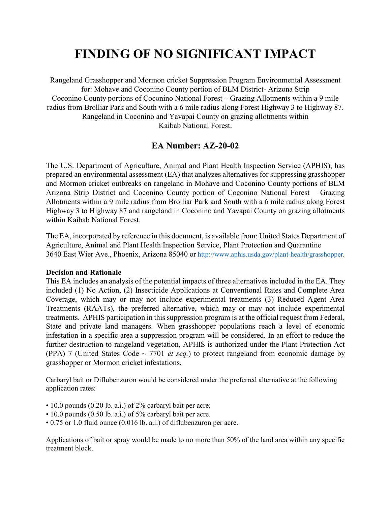# **FINDING OF NO SIGNIFICANT IMPACT**

Rangeland Grasshopper and Mormon cricket Suppression Program Environmental Assessment for: Mohave and Coconino County portion of BLM District- Arizona Strip Coconino County portions of Coconino National Forest – Grazing Allotments within a 9 mile radius from Brolliar Park and South with a 6 mile radius along Forest Highway 3 to Highway 87. Rangeland in Coconino and Yavapai County on grazing allotments within Kaibab National Forest.

## **EA Number: AZ-20-02**

The U.S. Department of Agriculture, Animal and Plant Health Inspection Service (APHIS), has prepared an environmental assessment (EA) that analyzes alternatives for suppressing grasshopper and Mormon cricket outbreaks on rangeland in Mohave and Coconino County portions of BLM Arizona Strip District and Coconino County portion of Coconino National Forest – Grazing Allotments within a 9 mile radius from Brolliar Park and South with a 6 mile radius along Forest Highway 3 to Highway 87 and rangeland in Coconino and Yavapai County on grazing allotments within Kaibab National Forest.

The EA, incorporated by reference in this document, is available from: United States Department of Agriculture, Animal and Plant Health Inspection Service, Plant Protection and Quarantine 3640 East Wier Ave., Phoenix, Arizona 85040 or http://www.aphis.usda.gov/plant-health/grasshopper.

#### **Decision and Rationale**

This EA includes an analysis of the potential impacts of three alternatives included in the EA. They included (1) No Action, (2) Insecticide Applications at Conventional Rates and Complete Area Coverage, which may or may not include experimental treatments (3) Reduced Agent Area Treatments (RAATs), the preferred alternative, which may or may not include experimental treatments. APHIS participation in this suppression program is at the official request from Federal, State and private land managers. When grasshopper populations reach a level of economic infestation in a specific area a suppression program will be considered. In an effort to reduce the further destruction to rangeland vegetation, APHIS is authorized under the Plant Protection Act (PPA) 7 (United States Code  $\sim$  7701 *et seq.*) to protect rangeland from economic damage by grasshopper or Mormon cricket infestations.

Carbaryl bait or Diflubenzuron would be considered under the preferred alternative at the following application rates:

- 10.0 pounds (0.20 lb. a.i.) of 2% carbaryl bait per acre;
- 10.0 pounds (0.50 lb. a.i.) of 5% carbaryl bait per acre.
- 0.75 or 1.0 fluid ounce (0.016 lb. a.i.) of diflubenzuron per acre.

Applications of bait or spray would be made to no more than 50% of the land area within any specific treatment block.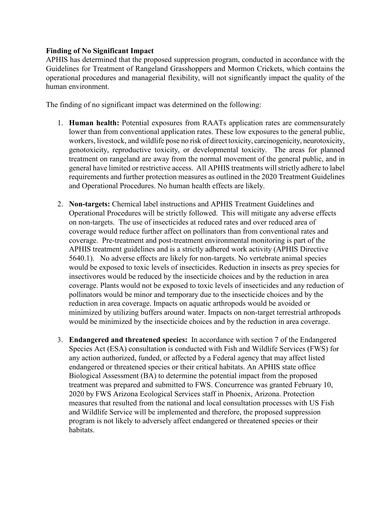### **Finding of No Significant Impact**

APHIS has determined that the proposed suppression program, conducted in accordance with the Guidelines for Treatment of Rangeland Grasshoppers and Mormon Crickets, which contains the operational procedures and managerial flexibility, will not significantly impact the quality of the human environment.

The finding of no significant impact was determined on the following:

- 1. **Human health:** Potential exposures from RAATs application rates are commensurately lower than from conventional application rates. These low exposures to the general public, workers, livestock, and wildlife pose no risk of direct toxicity, carcinogenicity, neurotoxicity, genotoxicity, reproductive toxicity, or developmental toxicity. The areas for planned treatment on rangeland are away from the normal movement of the general public, and in general have limited or restrictive access. All APHIS treatments will strictly adhere to label requirements and further protection measures as outlined in the 2020 Treatment Guidelines and Operational Procedures. No human health effects are likely.
- 2. **Non-targets:** Chemical label instructions and APHIS Treatment Guidelines and Operational Procedures will be strictly followed. This will mitigate any adverse effects on non-targets. The use of insecticides at reduced rates and over reduced area of coverage would reduce further affect on pollinators than from conventional rates and coverage. Pre-treatment and post-treatment environmental monitoring is part of the APHIS treatment guidelines and is a strictly adhered work activity (APHIS Directive 5640.1). No adverse effects are likely for non-targets. No vertebrate animal species would be exposed to toxic levels of insecticides. Reduction in insects as prey species for insectivores would be reduced by the insecticide choices and by the reduction in area coverage. Plants would not be exposed to toxic levels of insecticides and any reduction of pollinators would be minor and temporary due to the insecticide choices and by the reduction in area coverage. Impacts on aquatic arthropods would be avoided or minimized by utilizing buffers around water. Impacts on non-target terrestrial arthropods would be minimized by the insecticide choices and by the reduction in area coverage.
- 3. **Endangered and threatened species:** In accordance with section 7 of the Endangered Species Act (ESA) consultation is conducted with Fish and Wildlife Services (FWS) for any action authorized, funded, or affected by a Federal agency that may affect listed endangered or threatened species or their critical habitats. An APHIS state office Biological Assessment (BA) to determine the potential impact from the proposed treatment was prepared and submitted to FWS. Concurrence was granted February 10, 2020 by FWS Arizona Ecological Services staff in Phoenix, Arizona. Protection measures that resulted from the national and local consultation processes with US Fish and Wildlife Service will be implemented and therefore, the proposed suppression program is not likely to adversely affect endangered or threatened species or their habitats.